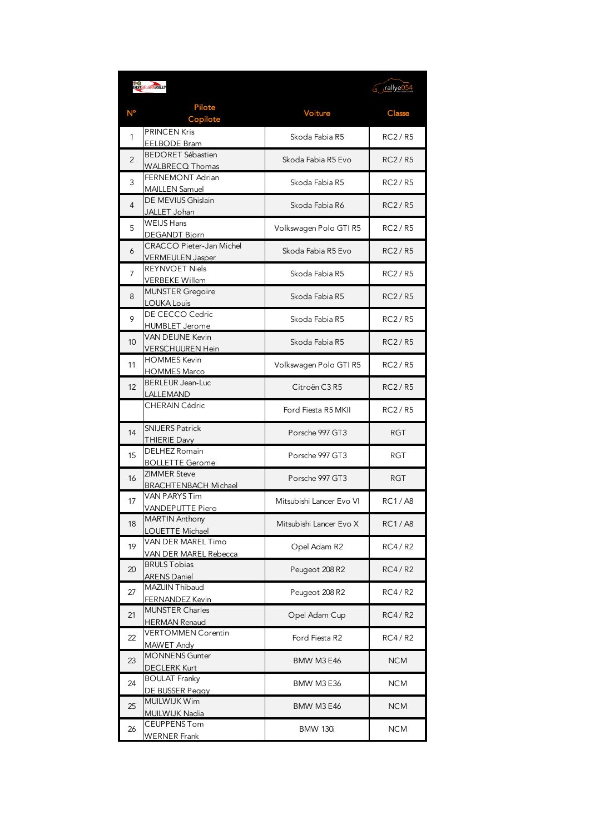|                | <b>EASTBELGIANRALLY</b>                                    |                          | Figure 154    |
|----------------|------------------------------------------------------------|--------------------------|---------------|
|                | <b>Pilote</b><br>Copilote                                  | <b>Voiture</b>           | Classe        |
| 1              | <b>PRINCEN Kris</b><br><b>EELBODE Bram</b>                 | Skoda Fabia R5           | RC2/RS        |
| 2              | <b>BEDORET Sébastien</b><br>WALBRECO Thomas                | Skoda Fabia R5 Evo       | <b>RC2/R5</b> |
| 3              | <b>FERNEMONT Adrian</b><br><b>MAILLEN Samuel</b>           | Skoda Fabia R5           | <b>RC2/R5</b> |
| $\overline{4}$ | DE MEVIUS Ghislain<br>JALLET Johan                         | Skoda Fabia R6           | <b>RC2/R5</b> |
| 5              | <b>WEIJS Hans</b><br><b>DEGANDT Bjorn</b>                  | Volkswagen Polo GTI R5   | <b>RC2/R5</b> |
| 6              | <b>CRACCO Pieter-Jan Michel</b><br><b>VERMEULEN Jasper</b> | Skoda Fabia R5 Evo       | <b>RC2/R5</b> |
| 7              | <b>REYNVOET Niels</b><br><b>VERBEKE Willem</b>             | Skoda Fabia R5           | <b>RC2/R5</b> |
| 8              | <b>MUNSTER Gregoire</b><br><b>LOUKA Louis</b>              | Skoda Fabia R5           | <b>RC2/R5</b> |
| 9              | DE CECCO Cedric<br><b>HUMBLET Jerome</b>                   | Skoda Fabia R5           | <b>RC2/R5</b> |
| 10             | <b>VAN DEIJNE Kevin</b><br><b>VERSCHUUREN Hein</b>         | Skoda Fabia R5           | <b>RC2/R5</b> |
| 11             | <b>HOMMES Kevin</b><br><b>HOMMES Marco</b>                 | Volkswagen Polo GTI R5   | <b>RC2/R5</b> |
| 12             | <b>BERLEUR Jean-Luc</b><br><b>LALLEMAND</b>                | Citroën C3 R5            | <b>RC2/R5</b> |
|                | <b>CHERAIN Cédric</b>                                      | Ford Fiesta R5 MKII      | <b>RC2/R5</b> |
| 14             | <b>SNIJERS Patrick</b><br><b>THIERIE Davy</b>              | Porsche 997 GT3          | RGT           |
| 15             | DELHEZ Romain<br><b>BOLLETTE Gerome</b>                    | Porsche 997 GT3          | RGT           |
| 16             | <b>ZIMMER Steve</b><br><b>BRACHTENBACH Michael</b>         | Porsche 997 GT3          | RGT           |
| 17             | <b>VAN PARYS Tim</b><br><b>VANDEPUTTE Piero</b>            | Mitsubishi Lancer Evo VI | <b>RC1/A8</b> |
| 18             | MARTIN Anthony<br>LOUETTE Michael                          | Mitsubishi Lancer Evo X  | <b>RC1/A8</b> |
| 19             | VAN DER MAREL Timo<br>VAN DER MAREL Rebecca                | Opel Adam R2             | RC4 / R2      |
| 20             | <b>BRULS Tobias</b><br><b>ARENS Daniel</b>                 | Peugeot 208 R2           | RC4/R2        |
| 27             | MAZUIN Thibaud<br>FERNANDEZ Kevin                          | Peugeot 208 R2           | RC4/R2        |
| 21             | <b>MUNSTER Charles</b><br><b>HERMAN Renaud</b>             | Opel Adam Cup            | RC4/R2        |
| 22             | <b>VERTOMMEN Corentin</b><br>MAWET Andy                    | Ford Fiesta R2           | RC4/R2        |
| 23             | <b>MONNENS</b> Gunter<br><b>DECLERK Kurt</b>               | <b>BMW M3 E46</b>        | <b>NCM</b>    |
| 24             | <b>BOULAT Franky</b><br>DE BUSSER Peggy                    | <b>BMW M3 E36</b>        | <b>NCM</b>    |
| 25             | MUILWIJK Wim<br><b>MUILWIJK Nadia</b>                      | <b>BMW M3 E46</b>        | <b>NCM</b>    |
| 26             | <b>CEUPPENSTom</b><br><b>WERNER Frank</b>                  | <b>BMW 130i</b>          | <b>NCM</b>    |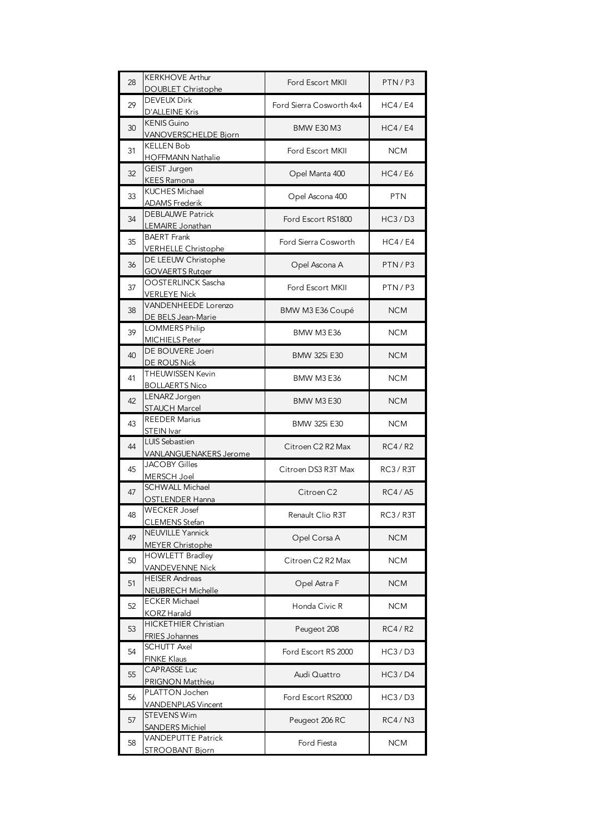| 28 | <b>KERKHOVE Arthur</b><br>DOUBLET Christophe        | Ford Escort MKII         | PTN/P3        |
|----|-----------------------------------------------------|--------------------------|---------------|
| 29 | <b>DEVEUX Dirk</b><br>D'ALLEINE Kris                | Ford Sierra Cosworth 4x4 | HC4/EA        |
| 30 | <b>KENIS Guino</b><br>VANOVERSCHELDE Bjorn          | <b>BMW E30 M3</b>        | HC4/EA        |
| 31 | <b>KELLEN Bob</b><br><b>HOFFMANN Nathalie</b>       | Ford Escort MKII         | <b>NCM</b>    |
| 32 | GEIST Jurgen<br><b>KEES Ramona</b>                  | Opel Manta 400           | <b>HC4/E6</b> |
| 33 | <b>KUCHES Michael</b><br><b>ADAMS</b> Frederik      | Opel Ascona 400          | <b>PTN</b>    |
| 34 | <b>DEBLAUWE Patrick</b><br>LEMAIRE Jonathan         | Ford Escort RS1800       | HC3/D3        |
| 35 | <b>BAERT Frank</b><br>VERHELLE Christophe           | Ford Sierra Cosworth     | HC4/EA        |
| 36 | DE LEEUW Christophe<br><b>GOVAERTS Rutger</b>       | Opel Ascona A            | PTN/P3        |
| 37 | <b>OOSTERLINCK Sascha</b><br><b>VERLEYE Nick</b>    | Ford Escort MKII         | PTN/P3        |
| 38 | <b>VANDENHEEDE Lorenzo</b><br>DE BELS Jean-Marie    | BMW M3 E36 Coupé         | <b>NCM</b>    |
| 39 | <b>LOMMERS Philip</b><br><b>MICHIELS Peter</b>      | <b>BMW M3 E36</b>        | <b>NCM</b>    |
| 40 | DE BOUVERE Joeri<br>DE ROUS Nick                    | <b>BMW 325i E30</b>      | <b>NCM</b>    |
| 41 | THEUWISSEN Kevin<br><b>BOLLAERTS Nico</b>           | <b>BMW M3 E36</b>        | <b>NCM</b>    |
| 42 | LENARZ Jorgen<br><b>STAUCH Marcel</b>               | <b>BMW M3 E30</b>        | <b>NCM</b>    |
| 43 | <b>REEDER Marius</b><br>STEIN Ivar                  | <b>BMW 325i E30</b>      | <b>NCM</b>    |
| 44 | LUIS Sebastien<br><b>VANLANGUENAKERS Jerome</b>     | Citroen C2 R2 Max        | <b>RC4/R2</b> |
| 45 | <b>JACOBY Gilles</b><br>MERSCH Joel                 | Citroen DS3 R3T Max      | RC3/R3T       |
| 47 | <b>SCHWALL Michael</b><br>OSTLENDER Hanna           | Citroen C2               | RC4/AS        |
| 48 | <b>WECKER Josef</b><br>CLEMENS Stefan               | Renault Clio R3T         | RC3 / R3T     |
| 49 | <b>NEUVILLE Yannick</b><br><b>MEYER Christophe</b>  | Opel Corsa A             | <b>NCM</b>    |
| 50 | <b>HOWLETT Bradley</b><br><b>VANDEVENNE Nick</b>    | Citroen C2 R2 Max        | <b>NCM</b>    |
| 51 | <b>HEISER Andreas</b><br><b>NEUBRECH Michelle</b>   | Opel Astra F             | <b>NCM</b>    |
| 52 | <b>ECKER Michael</b><br><b>KORZ Harald</b>          | Honda Civic R            | <b>NCM</b>    |
| 53 | <b>HICKETHIER Christian</b><br>FRIES Johannes       | Peugeot 208              | <b>RC4/R2</b> |
| 54 | <b>SCHUTT Axel</b><br><b>FINKE Klaus</b>            | Ford Escort RS 2000      | HC3/D3        |
| 55 | <b>CAPRASSE Luc</b><br>PRIGNON Matthieu             | Audi Quattro             | HC3/D4        |
| 56 | PLATTON Jochen<br><b>VANDENPLAS Vincent</b>         | Ford Escort RS2000       | HC3/D3        |
| 57 | <b>STEVENS Wim</b><br><b>SANDERS Michiel</b>        | Peugeot 206 RC           | <b>RC4/N3</b> |
| 58 | <b>VANDEPUTTE Patrick</b><br><b>STROOBANT Bjorn</b> | Ford Fiesta              | <b>NCM</b>    |